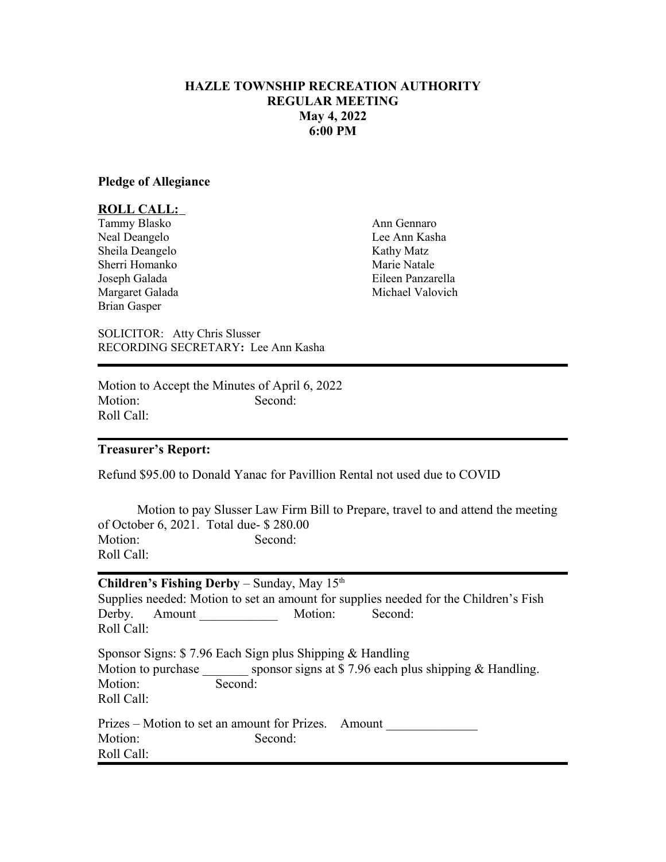# **HAZLE TOWNSHIP RECREATION AUTHORITY REGULAR MEETING May 4, 2022 6:00 PM**

### **Pledge of Allegiance**

## **ROLL CALL:**

Tammy Blasko Ann Gennaro Neal Deangelo Lee Ann Kasha Sheila Deangelo Kathy Matz<br>
Sherri Homanko Kathy Marie Natale Sherri Homanko Brian Gasper

Joseph Galada Eileen Panzarella Margaret Galada Michael Valovich

SOLICITOR: Atty Chris Slusser RECORDING SECRETARY**:** Lee Ann Kasha

Motion to Accept the Minutes of April 6, 2022 Motion: Second: Roll Call:

#### **Treasurer's Report:**

Refund \$95.00 to Donald Yanac for Pavillion Rental not used due to COVID

Motion to pay Slusser Law Firm Bill to Prepare, travel to and attend the meeting of October 6, 2021. Total due- \$ 280.00<br>Motion: Second: Motion: Roll Call:

| <b>Children's Fishing Derby</b> – Sunday, May $15th$     |                                                                                      |
|----------------------------------------------------------|--------------------------------------------------------------------------------------|
|                                                          | Supplies needed: Motion to set an amount for supplies needed for the Children's Fish |
| Derby. Amount                                            | Second:<br>Motion:                                                                   |
| Roll Call:                                               |                                                                                      |
| Sponsor Signs: \$7.96 Each Sign plus Shipping & Handling |                                                                                      |
|                                                          | Motion to purchase sponsor signs at $$7.96$ each plus shipping & Handling.           |
| Motion:                                                  | Second:                                                                              |
| Roll Call:                                               |                                                                                      |
|                                                          | Prizes – Motion to set an amount for Prizes. Amount                                  |
| Motion:                                                  | Second:                                                                              |
| Roll Call:                                               |                                                                                      |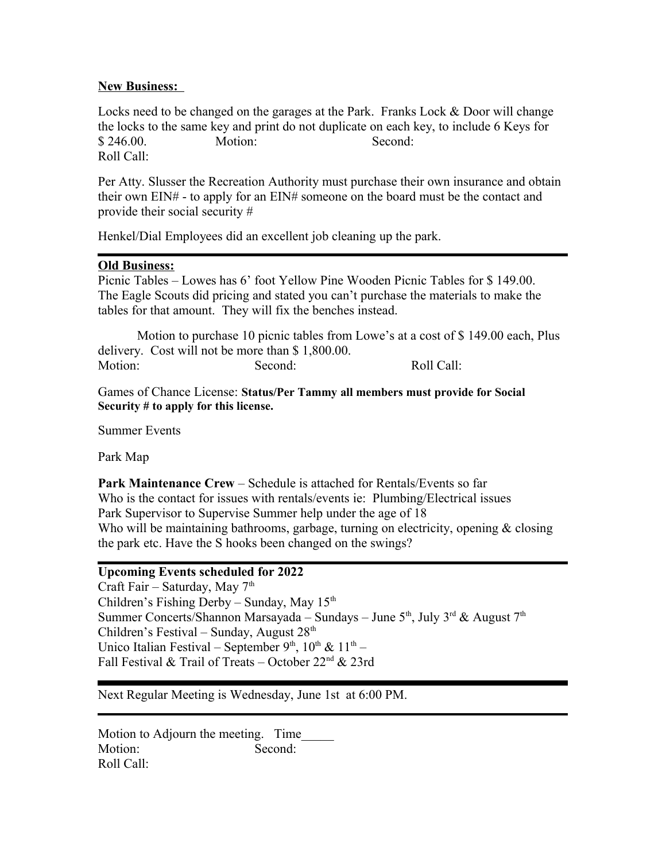# **New Business:**

Locks need to be changed on the garages at the Park. Franks Lock & Door will change the locks to the same key and print do not duplicate on each key, to include 6 Keys for \$ 246.00. Motion: Second: Roll Call:

Per Atty. Slusser the Recreation Authority must purchase their own insurance and obtain their own EIN# - to apply for an EIN# someone on the board must be the contact and provide their social security #

Henkel/Dial Employees did an excellent job cleaning up the park.

# **Old Business:**

Picnic Tables – Lowes has 6' foot Yellow Pine Wooden Picnic Tables for \$ 149.00. The Eagle Scouts did pricing and stated you can't purchase the materials to make the tables for that amount. They will fix the benches instead.

Motion to purchase 10 picnic tables from Lowe's at a cost of \$ 149.00 each, Plus delivery. Cost will not be more than \$ 1,800.00. Motion: Second: Roll Call:

Games of Chance License: **Status/Per Tammy all members must provide for Social Security # to apply for this license.**

Summer Events

Park Map

**Park Maintenance Crew** – Schedule is attached for Rentals/Events so far Who is the contact for issues with rentals/events ie: Plumbing/Electrical issues Park Supervisor to Supervise Summer help under the age of 18 Who will be maintaining bathrooms, garbage, turning on electricity, opening  $\&$  closing the park etc. Have the S hooks been changed on the swings?

### **Upcoming Events scheduled for 2022**

Craft Fair – Saturday, May 7<sup>th</sup> Children's Fishing Derby – Sunday, May  $15<sup>th</sup>$ Summer Concerts/Shannon Marsayada – Sundays – June  $5<sup>th</sup>$ , July  $3<sup>rd</sup>$  & August  $7<sup>th</sup>$ Children's Festival – Sunday, August  $28<sup>th</sup>$ Unico Italian Festival – September 9<sup>th</sup>,  $10^{\text{th}}$  &  $11^{\text{th}}$  – Fall Festival & Trail of Treats – October 22nd & 23rd

Next Regular Meeting is Wednesday, June 1st at 6:00 PM.

Motion to Adjourn the meeting. Time Motion: Second: Roll Call: